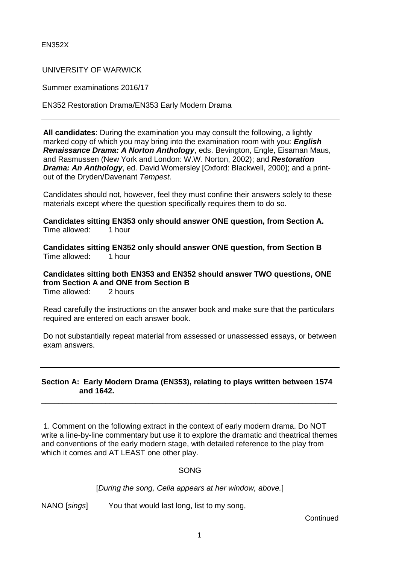## UNIVERSITY OF WARWICK

Summer examinations 2016/17

EN352 Restoration Drama/EN353 Early Modern Drama

**All candidates**: During the examination you may consult the following, a lightly marked copy of which you may bring into the examination room with you: *English Renaissance Drama: A Norton Anthology*, eds. Bevington, Engle, Eisaman Maus, and Rasmussen (New York and London: W.W. Norton, 2002); and *Restoration Drama: An Anthology*, ed. David Womersley [Oxford: Blackwell, 2000]; and a printout of the Dryden/Davenant *Tempest*.

Candidates should not, however, feel they must confine their answers solely to these materials except where the question specifically requires them to do so.

**Candidates sitting EN353 only should answer ONE question, from Section A.** Time allowed: 1 hour

**Candidates sitting EN352 only should answer ONE question, from Section B** Time allowed: 1 hour

**Candidates sitting both EN353 and EN352 should answer TWO questions, ONE from Section A and ONE from Section B**

Time allowed: 2 hours

Read carefully the instructions on the answer book and make sure that the particulars required are entered on each answer book.

Do not substantially repeat material from assessed or unassessed essays, or between exam answers.

## **Section A: Early Modern Drama (EN353), relating to plays written between 1574 and 1642.**

\_\_\_\_\_\_\_\_\_\_\_\_\_\_\_\_\_\_\_\_\_\_\_\_\_\_\_\_\_\_\_\_\_\_\_\_\_\_\_\_\_\_\_\_\_\_\_\_\_\_\_\_\_\_\_\_\_\_\_\_\_\_\_\_\_\_\_\_\_

1. Comment on the following extract in the context of early modern drama. Do NOT write a line-by-line commentary but use it to explore the dramatic and theatrical themes and conventions of the early modern stage, with detailed reference to the play from which it comes and AT LEAST one other play.

#### SONG

[*During the song, Celia appears at her window, above.*]

NANO [*sings*] You that would last long, list to my song,

**Continued**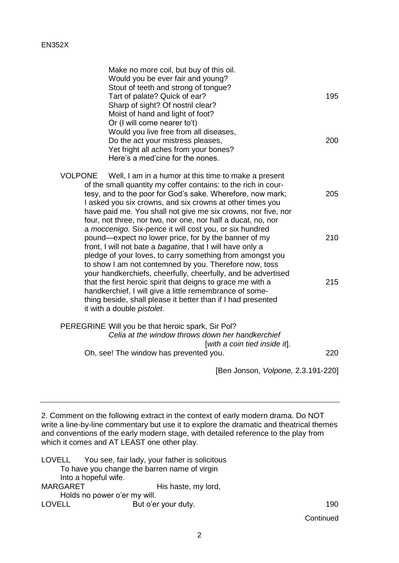| Make no more coil, but buy of this oil.<br>Would you be ever fair and young?<br>Stout of teeth and strong of tongue?<br>Tart of palate? Quick of ear?<br>Sharp of sight? Of nostril clear?<br>Moist of hand and light of foot?                                                                                                                                                                                                       | 195        |
|--------------------------------------------------------------------------------------------------------------------------------------------------------------------------------------------------------------------------------------------------------------------------------------------------------------------------------------------------------------------------------------------------------------------------------------|------------|
| Or (I will come nearer to't)<br>Would you live free from all diseases,<br>Do the act your mistress pleases,<br>Yet fright all aches from your bones?<br>Here's a med'cine for the nones.                                                                                                                                                                                                                                             | 200        |
| VOLPONE<br>Well, I am in a humor at this time to make a present<br>of the small quantity my coffer contains: to the rich in cour-<br>tesy, and to the poor for God's sake. Wherefore, now mark;<br>I asked you six crowns, and six crowns at other times you<br>have paid me. You shall not give me six crowns, nor five, nor<br>four, not three, nor two, nor one, nor half a ducat, no, nor                                        | 205        |
| a moccenigo. Six-pence it will cost you, or six hundred<br>pound—expect no lower price, for by the banner of my<br>front, I will not bate a bagatine, that I will have only a<br>pledge of your loves, to carry something from amongst you<br>to show I am not contemned by you. Therefore now, toss<br>your handkerchiefs, cheerfully, cheerfully, and be advertised<br>that the first heroic spirit that deigns to grace me with a | 210<br>215 |
| handkerchief, I will give a little remembrance of some-<br>thing beside, shall please it better than if I had presented<br>it with a double pistolet.                                                                                                                                                                                                                                                                                |            |
| PEREGRINE Will you be that heroic spark, Sir Pol?<br>Celia at the window throws down her handkerchief<br>[with a coin tied inside it].                                                                                                                                                                                                                                                                                               |            |
| Oh, see! The window has prevented you.                                                                                                                                                                                                                                                                                                                                                                                               | 220        |
|                                                                                                                                                                                                                                                                                                                                                                                                                                      |            |

[Ben Jonson, *Volpone,* 2.3.191-220]

2. Comment on the following extract in the context of early modern drama. Do NOT write a line-by-line commentary but use it to explore the dramatic and theatrical themes and conventions of the early modern stage, with detailed reference to the play from which it comes and AT LEAST one other play.

LOVELL You see, fair lady, your father is solicitous To have you change the barren name of virgin Into a hopeful wife. MARGARET His haste, my lord, Holds no power o'er my will. LOVELL But o'er your duty. 190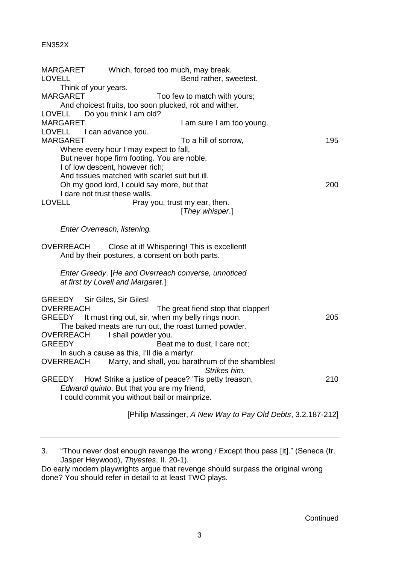|                                   | Which, forced too much, may break.                                                                 |     |
|-----------------------------------|----------------------------------------------------------------------------------------------------|-----|
| <b>LOVELL</b>                     | Bend rather, sweetest.                                                                             |     |
| Think of your years.              |                                                                                                    |     |
| <b>MARGARET</b>                   | Too few to match with yours;                                                                       |     |
|                                   | And choicest fruits, too soon plucked, rot and wither.                                             |     |
| <b>LOVELL</b>                     | Do you think I am old?                                                                             |     |
| <b>MARGARET</b>                   | I am sure I am too young.                                                                          |     |
| <b>LOVELL</b>                     | I can advance you.                                                                                 |     |
| <b>MARGARET</b>                   | To a hill of sorrow,                                                                               | 195 |
|                                   | Where every hour I may expect to fall,                                                             |     |
|                                   | But never hope firm footing. You are noble,                                                        |     |
|                                   | I of low descent, however rich;                                                                    |     |
|                                   | And tissues matched with scarlet suit but ill.                                                     |     |
|                                   | Oh my good lord, I could say more, but that                                                        | 200 |
| I dare not trust these walls.     |                                                                                                    |     |
| <b>LOVELL</b>                     | Pray you, trust my ear, then.                                                                      |     |
|                                   | [They whisper.]                                                                                    |     |
| Enter Overreach, listening.       |                                                                                                    |     |
|                                   |                                                                                                    |     |
| <b>OVERREACH</b>                  | Close at it! Whispering! This is excellent!<br>And by their postures, a consent on both parts.     |     |
|                                   | Enter Greedy. [He and Overreach converse, unnoticed<br>at first by Lovell and Margaret.]           |     |
|                                   |                                                                                                    |     |
| GREEDY                            | Sir Giles, Sir Giles!                                                                              |     |
| <b>OVERREACH</b><br>GREEDY        | The great fiend stop that clapper!                                                                 | 205 |
|                                   | It must ring out, sir, when my belly rings noon.                                                   |     |
|                                   | The baked meats are run out, the roast turned powder.                                              |     |
| <b>OVERREACH</b><br><b>GREEDY</b> | I shall powder you.<br>Beat me to dust, I care not;                                                |     |
|                                   | In such a cause as this, I'll die a martyr.                                                        |     |
| <b>OVERREACH</b>                  | Marry, and shall, you barathrum of the shambles!<br>Strikes him.                                   |     |
| <b>GREEDY</b>                     |                                                                                                    | 210 |
|                                   | How! Strike a justice of peace? 'Tis petty treason,<br>Edwardi quinto. But that you are my friend, |     |
|                                   | I could commit you without bail or mainprize.                                                      |     |

[Philip Massinger, *A New Way to Pay Old Debts*, 3.2.187-212]

<sup>3. &</sup>quot;Thou never dost enough revenge the wrong / Except thou pass [it]." (Seneca (tr. Jasper Heywood), *Thyestes*, II. 20-1).

Do early modern playwrights argue that revenge should surpass the original wrong done? You should refer in detail to at least TWO plays.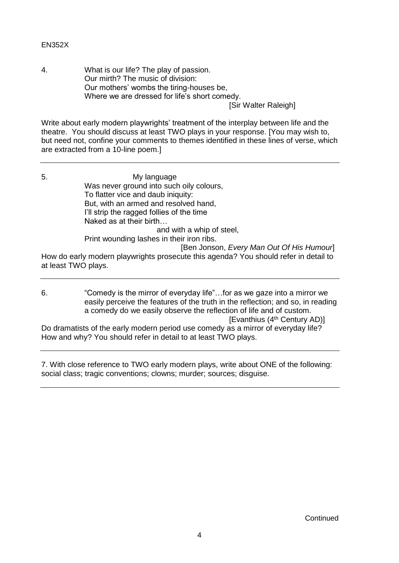4. What is our life? The play of passion. Our mirth? The music of division: Our mothers' wombs the tiring-houses be, Where we are dressed for life's short comedy.

[Sir Walter Raleigh]

Write about early modern playwrights' treatment of the interplay between life and the theatre. You should discuss at least TWO plays in your response. [You may wish to, but need not, confine your comments to themes identified in these lines of verse, which are extracted from a 10-line poem.]

- 5. My language Was never ground into such oily colours, To flatter vice and daub iniquity: But, with an armed and resolved hand, I'll strip the ragged follies of the time Naked as at their birth… and with a whip of steel, Print wounding lashes in their iron ribs. [Ben Jonson, *Every Man Out Of His Humour*] How do early modern playwrights prosecute this agenda? You should refer in detail to at least TWO plays.
- 6. "Comedy is the mirror of everyday life"…for as we gaze into a mirror we easily perceive the features of the truth in the reflection; and so, in reading a comedy do we easily observe the reflection of life and of custom. [Evanthius (4<sup>th</sup> Century AD)] Do dramatists of the early modern period use comedy as a mirror of everyday life? How and why? You should refer in detail to at least TWO plays.

7. With close reference to TWO early modern plays, write about ONE of the following: social class; tragic conventions; clowns; murder; sources; disguise.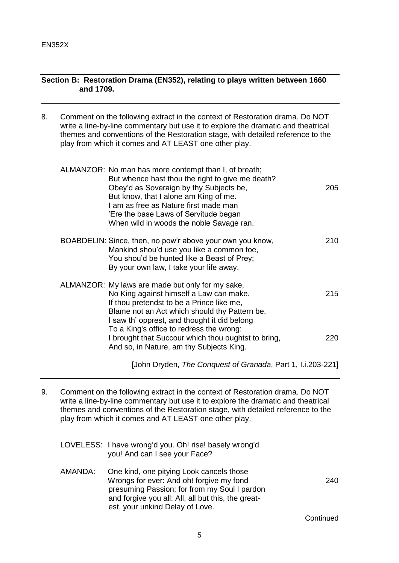# **Section B: Restoration Drama (EN352), relating to plays written between 1660 and 1709.**

8. Comment on the following extract in the context of Restoration drama. Do NOT write a line-by-line commentary but use it to explore the dramatic and theatrical themes and conventions of the Restoration stage, with detailed reference to the play from which it comes and AT LEAST one other play.

| ALMANZOR: No man has more contempt than I, of breath;<br>But whence hast thou the right to give me death?<br>Obey'd as Soveraign by thy Subjects be,<br>But know, that I alone am King of me.<br>I am as free as Nature first made man<br>'Ere the base Laws of Servitude began<br>When wild in woods the noble Savage ran. | 205 |
|-----------------------------------------------------------------------------------------------------------------------------------------------------------------------------------------------------------------------------------------------------------------------------------------------------------------------------|-----|
| BOABDELIN: Since, then, no pow'r above your own you know,<br>Mankind shou'd use you like a common foe,<br>You shou'd be hunted like a Beast of Prey;<br>By your own law, I take your life away.                                                                                                                             | 210 |
| ALMANZOR: My laws are made but only for my sake,<br>No King against himself a Law can make.<br>If thou pretendst to be a Prince like me,<br>Blame not an Act which should thy Pattern be.<br>I saw th' opprest, and thought it did belong                                                                                   | 215 |
| To a King's office to redress the wrong:<br>I brought that Succour which thou oughtst to bring,<br>And so, in Nature, am thy Subjects King.                                                                                                                                                                                 | 220 |

[John Dryden, *The Conquest of Granada*, Part 1, I.i.203-221]

9. Comment on the following extract in the context of Restoration drama. Do NOT write a line-by-line commentary but use it to explore the dramatic and theatrical themes and conventions of the Restoration stage, with detailed reference to the play from which it comes and AT LEAST one other play.

|         | LOVELESS: I have wrong'd you. Oh! rise! basely wrong'd<br>you! And can I see your Face?                                                                                                                                       |           |
|---------|-------------------------------------------------------------------------------------------------------------------------------------------------------------------------------------------------------------------------------|-----------|
| AMANDA: | One kind, one pitying Look cancels those<br>Wrongs for ever: And oh! forgive my fond<br>presuming Passion; for from my Soul I pardon<br>and forgive you all: All, all but this, the great-<br>est, your unkind Delay of Love. | 240       |
|         |                                                                                                                                                                                                                               | Continued |